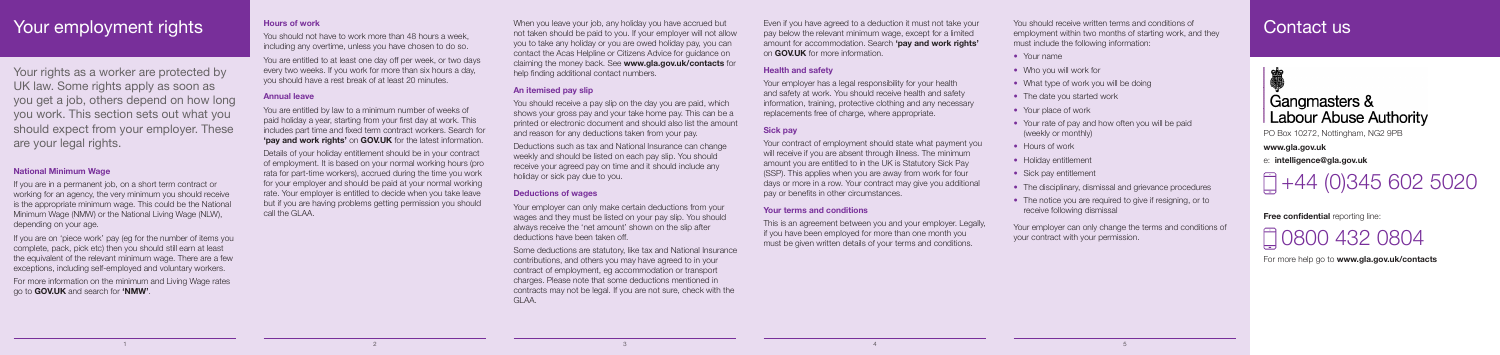## Your employment rights

Your rights as a worker are protected by UK law. Some rights apply as soon as you get a job, others depend on how long you work. This section sets out what you should expect from your employer. These are your legal rights.

1

### **National Minimum Wage**

If you are in a permanent job, on a short term contract or working for an agency, the very minimum you should receive is the appropriate minimum wage. This could be the National Minimum Wage (NMW) or the National Living Wage (NLW), depending on your age.

If you are on 'piece work' pay (eg for the number of items you complete, pack, pick etc) then you should still earn at least the equivalent of the relevant minimum wage. There are a few exceptions, including self-employed and voluntary workers.

For more information on the minimum and Living Wage rates go to **GOV.UK** and search for **'NMW'**.

### **Hours of work**

You should not have to work more than 48 hours a week, including any overtime, unless you have chosen to do so.

When you leave your job, any holiday you have accrued but not taken should be paid to you. If your employer will not allow you to take any holiday or you are owed holiday pay, you can contact the Acas Helpline or Citizens Advice for guidance on claiming the money back. See **www.gla.gov.uk/contacts** for help finding additional contact numbers.

You are entitled to at least one day off per week, or two days every two weeks. If you work for more than six hours a day, you should have a rest break of at least 20 minutes.

### **Annual leave**

You are entitled by law to a minimum number of weeks of paid holiday a year, starting from your first day at work. This includes part time and fixed term contract workers. Search for **'pay and work rights'** on **GOV.UK** for the latest information.

Details of your holiday entitlement should be in your contract of employment. It is based on your normal working hours (pro rata for part-time workers), accrued during the time you work for your employer and should be paid at your normal working rate. Your employer is entitled to decide when you take leave but if you are having problems getting permission you should call the GLAA.

Your employer has a legal responsibility for your health and safety at work. You should receive health and safety information, training, protective clothing and any necessary replacements free of charge, where appropriate.

2 3 4 5

Your contract of employment should state what payment you will receive if you are absent through illness. The minimum amount you are entitled to in the UK is Statutory Sick Pay (SSP). This applies when you are away from work for four days or more in a row. Your contract may give you additional pay or benefits in other circumstances.

This is an agreement between you and your employer. Legally, if you have been employed for more than one month you must be given written details of your terms and conditions.

### **An itemised pay slip**

You should receive a pay slip on the day you are paid, which shows your gross pay and your take home pay. This can be a printed or electronic document and should also list the amount and reason for any deductions taken from your pay.

- 
- What type of work you will be doing
	-
	-
- Your rate of pay and how often you will be paid
	-
- Sick pay entitlement
- The disciplinary, dismissal and grievance procedures
- Your employer can only change the terms and conditions of your contract with your permission.

## Contact us

# Gangmasters & **Labour Abuse Authority**

Deductions such as tax and National Insurance can change weekly and should be listed on each pay slip. You should receive your agreed pay on time and it should include any holiday or sick pay due to you.

### **Deductions of wages**

Your employer can only make certain deductions from your wages and they must be listed on your pay slip. You should always receive the 'net amount' shown on the slip after deductions have been taken off.

Some deductions are statutory, like tax and National Insurance contributions, and others you may have agreed to in your contract of employment, eg accommodation or transport charges. Please note that some deductions mentioned in contracts may not be legal. If you are not sure, check with the GLAA.

Even if you have agreed to a deduction it must not take your pay below the relevant minimum wage, except for a limited amount for accommodation. Search **'pay and work rights'** on **GOV.UK** for more information.

### **Health and safety**

### **Sick pay**

### **Your terms and conditions**

You should receive written terms and conditions of employment within two months of starting work, and they must include the following information:

- Your name
- Who you will work for
- 
- The date you started work
- Your place of work
- (weekly or monthly)
- Hours of work
- Holiday entitlement
- 
- The notice you are required to give if resigning, or to receive following dismissal

PO Box 10272, Nottingham, NG2 9PB

**www.gla.gov.uk**

e: **intelligence@gla.gov.uk** 

 $\Box$ +44 (0)345 602 5020

**Free confidential** reporting line:

0800 432 0804

For more help go to **www.gla.gov.uk/contacts**